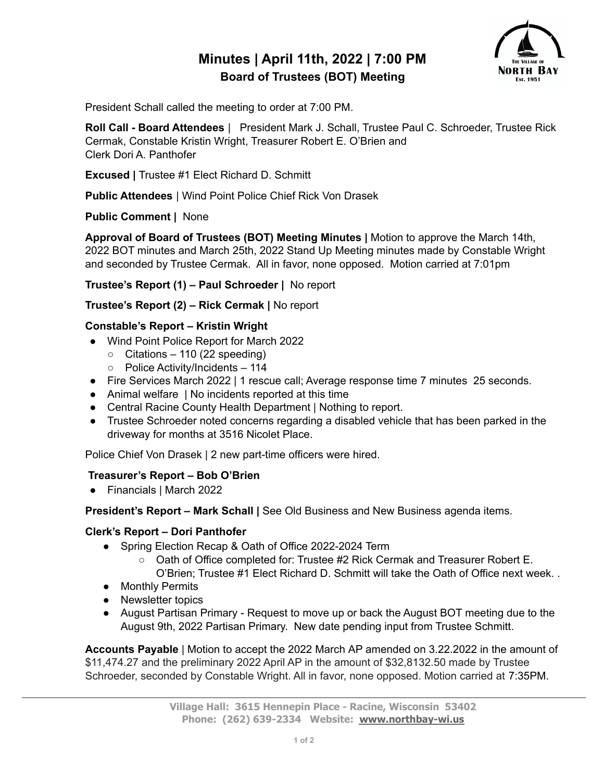# **Minutes | April 11th, 2022 | 7:00 PM Board of Trustees (BOT) Meeting**



President Schall called the meeting to order at 7:00 PM.

**Roll Call - Board Attendees** | President Mark J. Schall, Trustee Paul C. Schroeder, Trustee Rick Cermak, Constable Kristin Wright, Treasurer Robert E. O'Brien and Clerk Dori A. Panthofer

**Excused |** Trustee #1 Elect Richard D. Schmitt

**Public Attendees** | Wind Point Police Chief Rick Von Drasek

**Public Comment |** None

**Approval of Board of Trustees (BOT) Meeting Minutes |** Motion to approve the March 14th, 2022 BOT minutes and March 25th, 2022 Stand Up Meeting minutes made by Constable Wright and seconded by Trustee Cermak. All in favor, none opposed. Motion carried at 7:01pm

**Trustee's Report (1) – Paul Schroeder |** No report

**Trustee's Report (2) – Rick Cermak |** No report

### **Constable's Report – Kristin Wright**

- Wind Point Police Report for March 2022
	- $\circ$  Citations 110 (22 speeding)
	- Police Activity/Incidents 114
- Fire Services March 2022 | 1 rescue call; Average response time 7 minutes 25 seconds.
- Animal welfare | No incidents reported at this time
- Central Racine County Health Department | Nothing to report.
- Trustee Schroeder noted concerns regarding a disabled vehicle that has been parked in the driveway for months at 3516 Nicolet Place.

Police Chief Von Drasek | 2 new part-time officers were hired.

## **Treasurer's Report – Bob O'Brien**

● Financials | March 2022

**President's Report – Mark Schall |** See Old Business and New Business agenda items.

#### **Clerk's Report – Dori Panthofer**

- Spring Election Recap & Oath of Office 2022-2024 Term
	- Oath of Office completed for: Trustee #2 Rick Cermak and Treasurer Robert E. O'Brien; Trustee #1 Elect Richard D. Schmitt will take the Oath of Office next week. .
- Monthly Permits
- Newsletter topics
- August Partisan Primary Request to move up or back the August BOT meeting due to the August 9th, 2022 Partisan Primary. New date pending input from Trustee Schmitt.

**Accounts Payable** | Motion to accept the 2022 March AP amended on 3.22.2022 in the amount of \$11,474.27 and the preliminary 2022 April AP in the amount of \$32,8132.50 made by Trustee Schroeder, seconded by Constable Wright. All in favor, none opposed. Motion carried at 7:35PM.